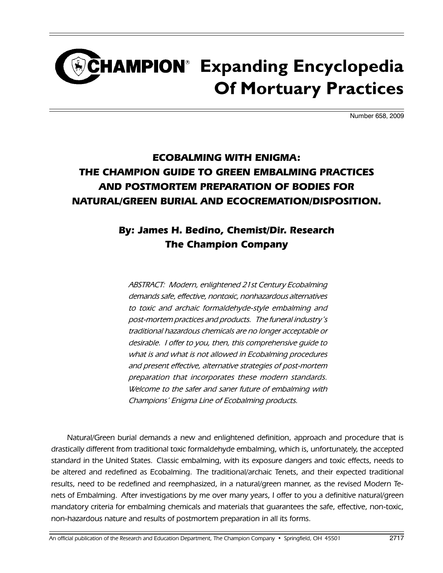# CHAMPION<sup>®</sup> Expanding Encyclopedia **Of Mortuary Practices**

Number 658, 2009

## **ECOBALMING WITH ENIGMA: THE CHAMPION GUIDE TO GREEN EMBALMING PRACTICES AND POSTMORTEM PREPARATION OF BODIES FOR NATURAL/GREEN BURIAL AND ECOCREMATION/DISPOSITION.**

## **By: James H. Bedino, Chemist/Dir. Research The Champion Company**

ABSTRACT: Modern, enlightened 21st Century Ecobalming demands safe, effective, nontoxic, nonhazardous alternatives to toxic and archaic formaldehyde-style embalming and post-mortem practices and products. The funeral industry's traditional hazardous chemicals are no longer acceptable or desirable. I offer to you, then, this comprehensive guide to what is and what is not allowed in Ecobalming procedures and present effective, alternative strategies of post-mortem preparation that incorporates these modern standards. Welcome to the safer and saner future of embalming with Champions' Enigma Line of Ecobalming products.

 Natural/Green burial demands a new and enlightened definition, approach and procedure that is drastically different from traditional toxic formaldehyde embalming, which is, unfortunately, the accepted standard in the United States. Classic embalming, with its exposure dangers and toxic effects, needs to be altered and redefined as Ecobalming. The traditional/archaic Tenets, and their expected traditional results, need to be redefined and reemphasized, in a natural/green manner, as the revised Modern Tenets of Embalming. After investigations by me over many years, I offer to you a definitive natural/green mandatory criteria for embalming chemicals and materials that guarantees the safe, effective, non-toxic, non-hazardous nature and results of postmortem preparation in all its forms.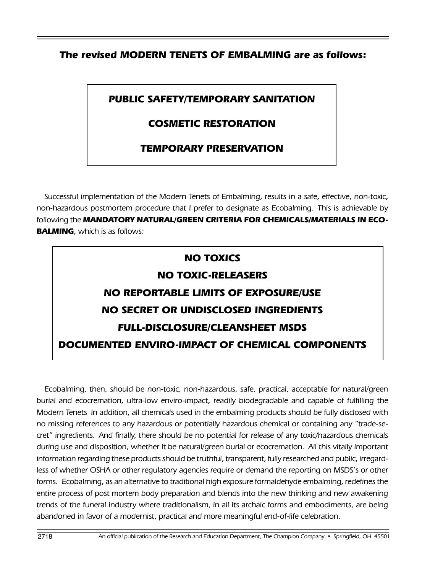#### **The revised MODERN TENETS OF EMBALMING are as follows:**

## **PUBLIC SAFETY/TEMPORARY SANITATION**

## **COSMETIC RESTORATION**

### **TEMPORARY PRESERVATION**

Successful implementation of the Modern Tenets of Embalming, results in a safe, effective, non-toxic, non-hazardous postmortem procedure that I prefer to designate as Ecobalming. This is achievable by following the **Mandatory natural/Green Criteria for Chemicals/Materials in Eco-BALMING**, which is as follows:

#### **NO TOXICS**

#### **NO TOXIC-RELEASERS**

## **NO REPORTABLE LIMITS OF EXPOSURE/USE NO SECRET OR UNDISCLOSED INGREDIENTS FULL-DISCLOSURE/CLEANSHEET MSDS DOCUMENTED ENVIRO-IMPACT OF CHEMICAL COMPONENTS**

Ecobalming, then, should be non-toxic, non-hazardous, safe, practical, acceptable for natural/green burial and ecocremation, ultra-low enviro-impact, readily biodegradable and capable of fulfilling the Modern Tenets In addition, all chemicals used in the embalming products should be fully disclosed with no missing references to any hazardous or potentially hazardous chemical or containing any "trade-secret" ingredients. And finally, there should be no potential for release of any toxic/hazardous chemicals during use and disposition, whether it be natural/green burial or ecocremation. All this vitally important information regarding these products should be truthful, transparent, fully researched and public, irregardless of whether OSHA or other regulatory agencies require or demand the reporting on MSDS's or other forms. Ecobalming, as an alternative to traditional high exposure formaldehyde embalming, redefines the entire process of post mortem body preparation and blends into the new thinking and new awakening trends of the funeral industry where traditionalism, in all its archaic forms and embodiments, are being abandoned in favor of a modernist, practical and more meaningful end-of-life celebration.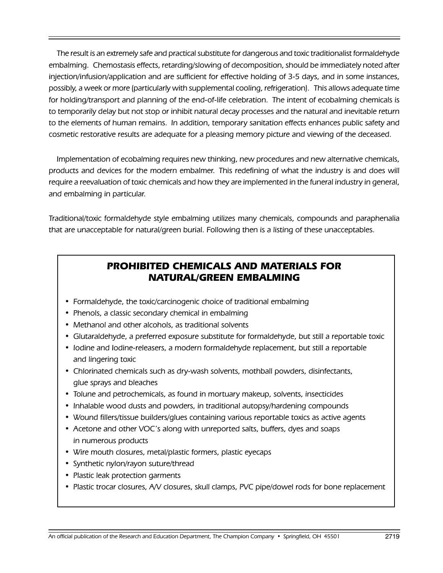The result is an extremely safe and practical substitute for dangerous and toxic traditionalist formaldehyde embalming. Chemostasis effects, retarding/slowing of decomposition, should be immediately noted after injection/infusion/application and are sufficient for effective holding of 3-5 days, and in some instances, possibly, a week or more (particularly with supplemental cooling, refrigeration). This allows adequate time for holding/transport and planning of the end-of-life celebration. The intent of ecobalming chemicals is to temporarily delay but not stop or inhibit natural decay processes and the natural and inevitable return to the elements of human remains. In addition, temporary sanitation effects enhances public safety and cosmetic restorative results are adequate for a pleasing memory picture and viewing of the deceased.

Implementation of ecobalming requires new thinking, new procedures and new alternative chemicals, products and devices for the modern embalmer. This redefining of what the industry is and does will require a reevaluation of toxic chemicals and how they are implemented in the funeral industry in general, and embalming in particular.

Traditional/toxic formaldehyde style embalming utilizes many chemicals, compounds and paraphenalia that are unacceptable for natural/green burial. Following then is a listing of these unacceptables.

## **PROHIBITED CHEMICALS AND MATERIALS FOR NATURAL/GREEN EMBALMING**

- Formaldehyde, the toxic/carcinogenic choice of traditional embalming
- Phenols, a classic secondary chemical in embalming
- Methanol and other alcohols, as traditional solvents
- Glutaraldehyde, a preferred exposure substitute for formaldehyde, but still a reportable toxic
- Iodine and Iodine-releasers, a modern formaldehyde replacement, but still a reportable and lingering toxic
- Chlorinated chemicals such as dry-wash solvents, mothball powders, disinfectants, glue sprays and bleaches
- Tolune and petrochemicals, as found in mortuary makeup, solvents, insecticides
- Inhalable wood dusts and powders, in traditional autopsy/hardening compounds
- Wound fillers/tissue builders/glues containing various reportable toxics as active agents
- Acetone and other VOC's along with unreported salts, buffers, dyes and soaps in numerous products
- Wire mouth closures, metal/plastic formers, plastic eyecaps
- Synthetic nylon/rayon suture/thread
- Plastic leak protection garments
- Plastic trocar closures, A/V closures, skull clamps, PVC pipe/dowel rods for bone replacement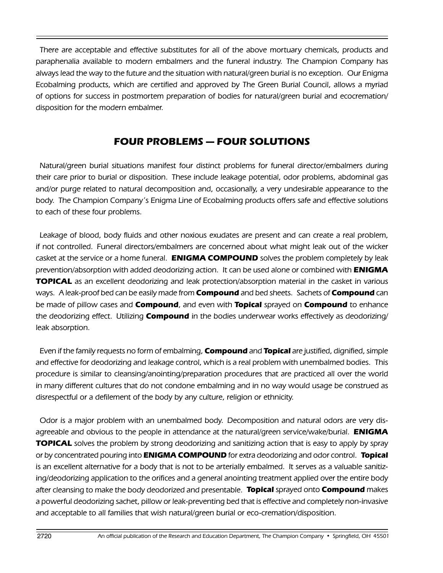There are acceptable and effective substitutes for all of the above mortuary chemicals, products and paraphenalia available to modern embalmers and the funeral industry. The Champion Company has always lead the way to the future and the situation with natural/green burial is no exception. Our Enigma Ecobalming products, which are certified and approved by The Green Burial Council, allows a myriad of options for success in postmortem preparation of bodies for natural/green burial and ecocremation/ disposition for the modern embalmer.

## **FOUR PROBLEMS — FOUR SOLUTIONS**

Natural/green burial situations manifest four distinct problems for funeral director/embalmers during their care prior to burial or disposition. These include leakage potential, odor problems, abdominal gas and/or purge related to natural decomposition and, occasionally, a very undesirable appearance to the body. The Champion Company's Enigma Line of Ecobalming products offers safe and effective solutions to each of these four problems.

Leakage of blood, body fluids and other noxious exudates are present and can create a real problem, if not controlled. Funeral directors/embalmers are concerned about what might leak out of the wicker casket at the service or a home funeral. **ENIGMA COMPOUND** solves the problem completely by leak prevention/absorption with added deodorizing action. It can be used alone or combined with **ENIGMA TOPICAL** as an excellent deodorizing and leak protection/absorption material in the casket in various ways. A leak-proof bed can be easily made from **Compound** and bed sheets. Sachets of **Compound** can be made of pillow cases and **Compound**, and even with **Topical** sprayed on **Compound** to enhance the deodorizing effect. Utilizing **Compound** in the bodies underwear works effectively as deodorizing/ leak absorption.

Even if the family requests no form of embalming, **Compound** and **Topical** are justified, dignified, simple and effective for deodorizing and leakage control, which is a real problem with unembalmed bodies. This procedure is similar to cleansing/anointing/preparation procedures that are practiced all over the world in many different cultures that do not condone embalming and in no way would usage be construed as disrespectful or a defilement of the body by any culture, religion or ethnicity.

Odor is a major problem with an unembalmed body. Decomposition and natural odors are very disagreeable and obvious to the people in attendance at the natural/green service/wake/burial. **ENIGMA TOPICAL** solves the problem by strong deodorizing and sanitizing action that is easy to apply by spray or by concentrated pouring into **ENIGMA COMPOUND** for extra deodorizing and odor control. **Topical** is an excellent alternative for a body that is not to be arterially embalmed. It serves as a valuable sanitizing/deodorizing application to the orifices and a general anointing treatment applied over the entire body after cleansing to make the body deodorized and presentable. **Topical** sprayed onto **Compound** makes a powerful deodorizing sachet, pillow or leak-preventing bed that is effective and completely non-invasive and acceptable to all families that wish natural/green burial or eco-cremation/disposition.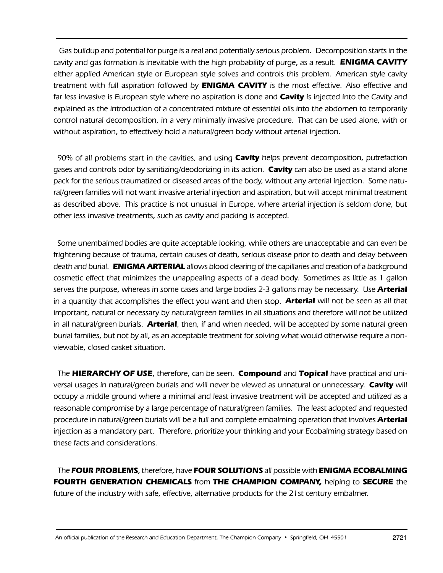Gas buildup and potential for purge is a real and potentially serious problem. Decomposition starts in the cavity and gas formation is inevitable with the high probability of purge, as a result. **ENIGMA CAVITY** either applied American style or European style solves and controls this problem. American style cavity treatment with full aspiration followed by **ENIGMA CAVITY** is the most effective. Also effective and far less invasive is European style where no aspiration is done and **Cavity** is injected into the Cavity and explained as the introduction of a concentrated mixture of essential oils into the abdomen to temporarily control natural decomposition, in a very minimally invasive procedure. That can be used alone, with or without aspiration, to effectively hold a natural/green body without arterial injection.

90% of all problems start in the cavities, and using **Cavity** helps prevent decomposition, putrefaction gases and controls odor by sanitizing/deodorizing in its action. **Cavity** can also be used as a stand alone pack for the serious traumatized or diseased areas of the body, without any arterial injection. Some natural/green families will not want invasive arterial injection and aspiration, but will accept minimal treatment as described above. This practice is not unusual in Europe, where arterial injection is seldom done, but other less invasive treatments, such as cavity and packing is accepted.

Some unembalmed bodies are quite acceptable looking, while others are unacceptable and can even be frightening because of trauma, certain causes of death, serious disease prior to death and delay between death and burial. **ENIGMA ARTERIAL** allows blood clearing of the capillaries and creation of a background cosmetic effect that minimizes the unappealing aspects of a dead body. Sometimes as little as 1 gallon serves the purpose, whereas in some cases and large bodies 2-3 gallons may be necessary. Use **Arterial** in a quantity that accomplishes the effect you want and then stop. **Arterial** will not be seen as all that important, natural or necessary by natural/green families in all situations and therefore will not be utilized in all natural/green burials. **Arterial**, then, if and when needed, will be accepted by some natural green burial families, but not by all, as an acceptable treatment for solving what would otherwise require a nonviewable, closed casket situation.

The **HIERARCHY OF USE**, therefore, can be seen. **Compound** and **Topical** have practical and universal usages in natural/green burials and will never be viewed as unnatural or unnecessary. **Cavity** will occupy a middle ground where a minimal and least invasive treatment will be accepted and utilized as a reasonable compromise by a large percentage of natural/green families. The least adopted and requested procedure in natural/green burials will be a full and complete embalming operation that involves **Arterial** injection as a mandatory part. Therefore, prioritize your thinking and your Ecobalming strategy based on these facts and considerations.

The **FOUR PROBLEMS**, therefore, have **FOUR SOLUTIONS** all possible with **ENIGMA ECOBALMING FOURTH GENERATION CHEMICALS** from **THE CHAMPION COMPANY,** helping to **SECURE** the future of the industry with safe, effective, alternative products for the 21st century embalmer.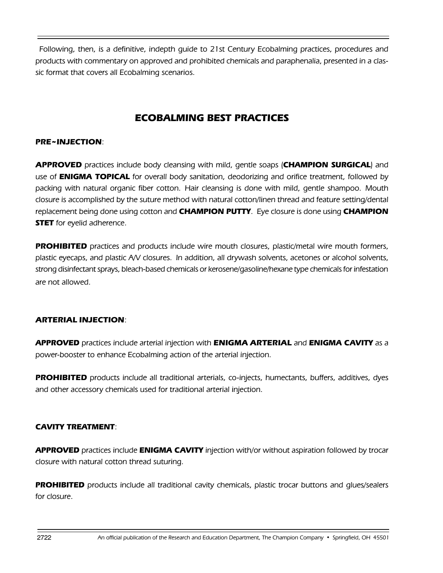Following, then, is a definitive, indepth guide to 21st Century Ecobalming practices, procedures and products with commentary on approved and prohibited chemicals and paraphenalia, presented in a classic format that covers all Ecobalming scenarios.

## **ECOBALMING BEST PRACTICES**

#### **PRE~INJECTION**:

**APPROVED** practices include body cleansing with mild, gentle soaps (**CHAMPION SURGICAL**) and use of **ENIGMA TOPICAL** for overall body sanitation, deodorizing and orifice treatment, followed by packing with natural organic fiber cotton. Hair cleansing is done with mild, gentle shampoo. Mouth closure is accomplished by the suture method with natural cotton/linen thread and feature setting/dental replacement being done using cotton and **CHAMPION PUTTY**. Eye closure is done using **CHAMPION STET** for eyelid adherence.

**PROHIBITED** practices and products include wire mouth closures, plastic/metal wire mouth formers, plastic eyecaps, and plastic A/V closures. In addition, all drywash solvents, acetones or alcohol solvents, strong disinfectant sprays, bleach-based chemicals or kerosene/gasoline/hexane type chemicals for infestation are not allowed.

#### **ARTERIAL INJECTION**:

**APPROVED** practices include arterial injection with **ENIGMA ARTERIAL** and **ENIGMA CAVITY** as a power-booster to enhance Ecobalming action of the arterial injection.

**PROHIBITED** products include all traditional arterials, co-injects, humectants, buffers, additives, dyes and other accessory chemicals used for traditional arterial injection.

#### **CAVITY TREATMENT**:

**APPROVED** practices include **ENIGMA CAVITY** injection with/or without aspiration followed by trocar closure with natural cotton thread suturing.

**PROHIBITED** products include all traditional cavity chemicals, plastic trocar buttons and glues/sealers for closure.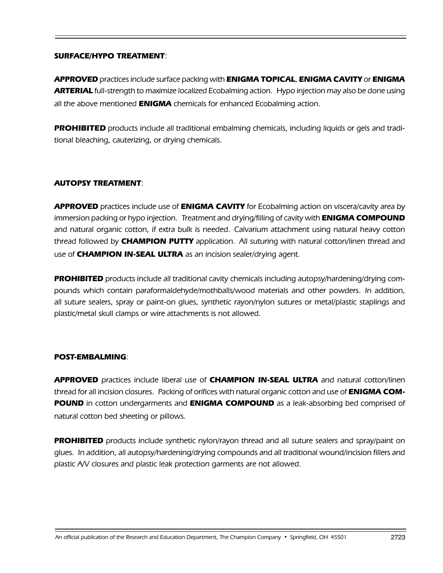#### **SURFACE/HYPO TREATMENT**:

**APPROVED** practices include surface packing with **ENIGMA TOPICAL**, **ENIGMA CAVITY** or **ENIGMA ARTERIAL** full-strength to maximize localized Ecobalming action. Hypo injection may also be done using all the above mentioned **ENIGMA** chemicals for enhanced Ecobalming action.

**PROHIBITED** products include all traditional embalming chemicals, including liquids or gels and traditional bleaching, cauterizing, or drying chemicals.

#### **AUTOPSY TREATMENT**:

**APPROVED** practices include use of **ENIGMA CAVITY** for Ecobalming action on viscera/cavity area by immersion packing or hypo injection. Treatment and drying/filling of cavity with **ENIGMA COMPOUND**  and natural organic cotton, if extra bulk is needed. Calvarium attachment using natural heavy cotton thread followed by **CHAMPION PUTTY** application. All suturing with natural cotton/linen thread and use of **CHAMPION IN-SEAL ULTRA** as an incision sealer/drying agent.

**PROHIBITED** products include all traditional cavity chemicals including autopsy/hardening/drying compounds which contain paraformaldehyde/mothballs/wood materials and other powders. In addition, all suture sealers, spray or paint-on glues, synthetic rayon/nylon sutures or metal/plastic staplings and plastic/metal skull clamps or wire attachments is not allowed.

#### **POST-EMBALMING**:

**APPROVED** practices include liberal use of **CHAMPION IN-SEAL ULTRA** and natural cotton/linen thread for all incision closures. Packing of orifices with natural organic cotton and use of **ENIGMA COM-POUND** in cotton undergarments and **ENIGMA COMPOUND** as a leak-absorbing bed comprised of natural cotton bed sheeting or pillows.

**PROHIBITED** products include synthetic nylon/rayon thread and all suture sealers and spray/paint on glues. In addition, all autopsy/hardening/drying compounds and all traditional wound/incision fillers and plastic A/V closures and plastic leak protection garments are not allowed.